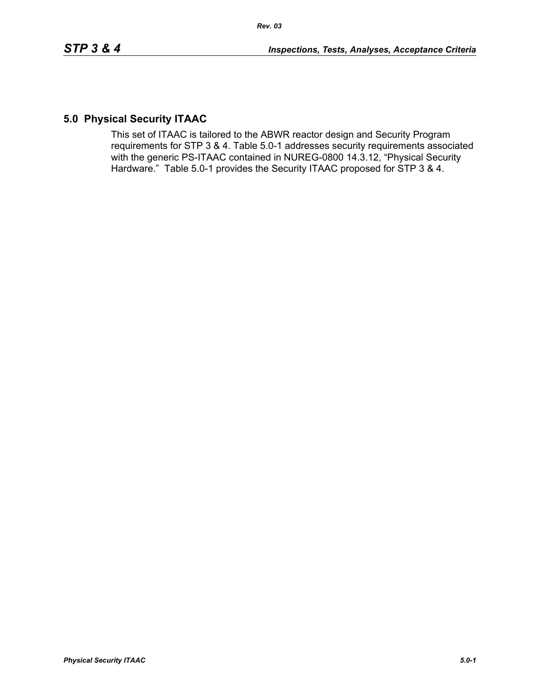# **5.0 Physical Security ITAAC**

This set of ITAAC is tailored to the ABWR reactor design and Security Program requirements for STP 3 & 4. Table 5.0-1 addresses security requirements associated with the generic PS-ITAAC contained in NUREG-0800 14.3.12, "Physical Security Hardware." Table 5.0-1 provides the Security ITAAC proposed for STP 3 & 4.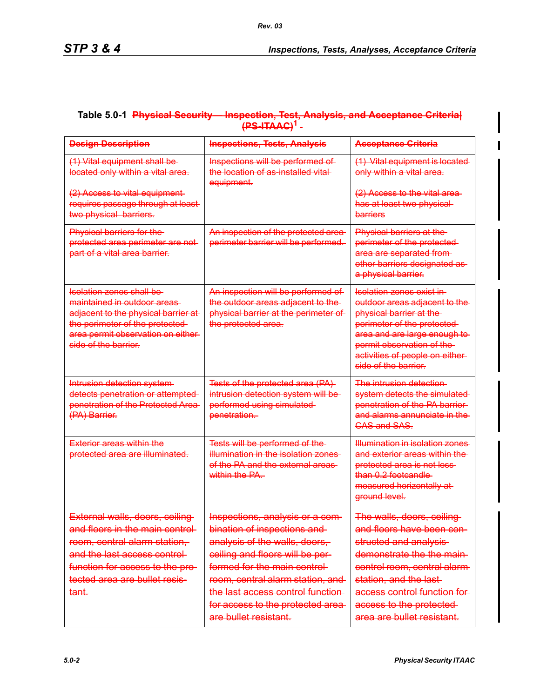## **Table 5.0-1 Physical Security— Inspection, Test, Analysis, and Acceptance Criteria| (PS-ITAAC)<sup>1</sup>**

| <b>Design Description</b>                                                                                                                                                                                                  | <b>Inspections, Tests, Analysis</b>                                                                                                                                                                                                                                                                     | <b>Acceptance Criteria</b>                                                                                                                                                                                                                                     |
|----------------------------------------------------------------------------------------------------------------------------------------------------------------------------------------------------------------------------|---------------------------------------------------------------------------------------------------------------------------------------------------------------------------------------------------------------------------------------------------------------------------------------------------------|----------------------------------------------------------------------------------------------------------------------------------------------------------------------------------------------------------------------------------------------------------------|
| (1) Vital equipment shall be<br>located only within a vital area.                                                                                                                                                          | Inspections will be performed of<br>the location of as installed vital-<br>equipment.                                                                                                                                                                                                                   | (1) Vital equipment is located<br>only within a vital area.                                                                                                                                                                                                    |
| (2) Access to vital equipment<br>requires passage through at least-<br>two physical barriers.                                                                                                                              |                                                                                                                                                                                                                                                                                                         | (2) Access to the vital area-<br>has at least two physical-<br>barriers                                                                                                                                                                                        |
| Physical barriers for the<br>protected area perimeter are not<br>part of a vital area barrier.                                                                                                                             | An inspection of the protected area-<br>perimeter barrier will be performed.                                                                                                                                                                                                                            | Physical barriers at the<br>perimeter of the protected-<br>area are separated from-<br>other barriers designated as-<br>a physical barrier.                                                                                                                    |
| <u>Isolation zones shall be-</u><br><del>maintained in outdoor areas</del> -<br>adjacent to the physical barrier at<br>the perimeter of the protected-<br>area permit observation on either<br>side of the barrier.        | An inspection will be performed of<br>the outdoor areas adjacent to the<br>physical barrier at the perimeter of<br>the protected area.                                                                                                                                                                  | <u>Isolation zones exist in I</u><br>outdoor areas adjacent to the<br>physical barrier at the<br>perimeter of the protected-<br>area and are large enough to<br>permit observation of the<br>activities of people on either-<br>side of the barrier.           |
| Intrusion detection system-<br>detects penetration or attempted<br>penetration of the Protected Area<br>(PA) Barrier.                                                                                                      | Tests of the protected area (PA)<br>intrusion detection system will be<br>performed using simulated<br>penetration.                                                                                                                                                                                     | <u>The intrusion detection-</u><br>system detects the simulated<br>penetration of the PA barrier-<br><del>and alarms annunciate in the</del><br><del>CAS and SAS.</del>                                                                                        |
| <del>Exterior areas within the</del><br>protected area are illuminated.                                                                                                                                                    | Tests will be performed of the<br><del>illumination in the isolation zones.</del><br><del>of the PA and the external areas-</del><br><del>within the PA.</del>                                                                                                                                          | <del>Illumination in isolation zones</del><br>and exterior areas within the<br>protected area is not less<br>than 0.2 footcandle<br>measured horizontally at-<br>ground level.                                                                                 |
| External walls, doors, ceiling-<br>and floors in the main control-<br>room, central alarm station,<br>and the last access control-<br>function for access to the pro-<br>tected area are bullet resis-<br><del>tant.</del> | Inspections, analysis or a com-<br>bination of inspections and<br>analysis of the walls, doors,<br>ceiling and floors will be per-<br>formed for the main control<br>room, central alarm station, and<br>the last access control function<br>for access to the protected area-<br>are bullet resistant. | The walls, doors, ceiling<br>and floors have been con-<br>structed and analysis-<br>demonstrate the the main<br>control room, central alarm-<br>station, and the last-<br>access control function for<br>access to the protected<br>area are bullet resistant. |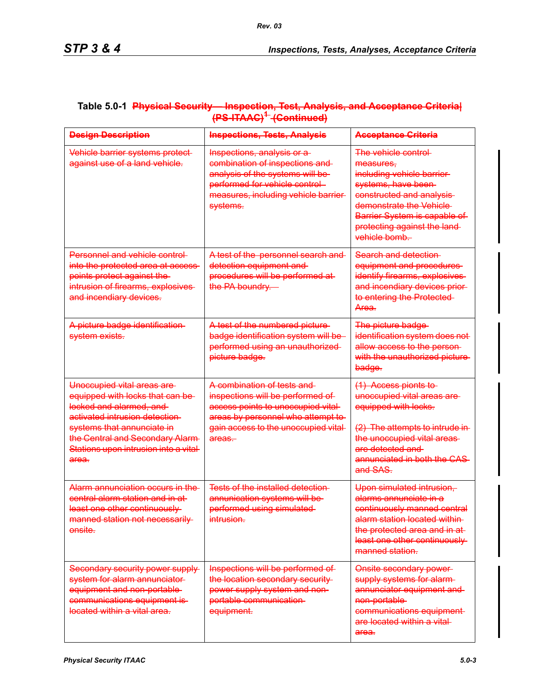| <b>Design Description</b>                                                                                                                                                                                                                                  | <b>Inspections, Tests, Analysis</b>                                                                                                                                                                                | <b>Acceptance Griteria</b>                                                                                                                                                                                                              |
|------------------------------------------------------------------------------------------------------------------------------------------------------------------------------------------------------------------------------------------------------------|--------------------------------------------------------------------------------------------------------------------------------------------------------------------------------------------------------------------|-----------------------------------------------------------------------------------------------------------------------------------------------------------------------------------------------------------------------------------------|
| Vehicle barrier systems protect<br>against use of a land vehicle.                                                                                                                                                                                          | Inspections, analysis or a<br>combination of inspections and<br>analysis of the systems will be<br>performed for vehicle control<br>measures, including vehicle barrier-<br>systems.                               | The vehicle control<br>measures.<br>including vehicle barrier<br>systems, have been-<br>constructed and analysis<br>demonstrate the Vehicle<br>Barrier System is capable of<br>protecting against the land-<br><del>vehicle bomb.</del> |
| Personnel and vehicle control-<br>into the protected area at access<br>points protect against the<br>intrusion of firearms, explosives<br>and incendiary devices.                                                                                          | A test of the personnel search and<br>detection equipment and<br>procedures will be performed at-<br>the PA boundry.                                                                                               | Search and detection-<br>equipment and procedures<br>identify firearms, explosives<br>and incendiary devices prior<br>to entering the Protected-<br>Area.                                                                               |
| A picture badge identification-<br>system exists.                                                                                                                                                                                                          | A test of the numbered picture<br>badge identification system will be<br>performed using an unauthorized-<br>picture badge.                                                                                        | The picture badge<br>identification system does not<br>allow access to the person-<br>with the unauthorized picture<br>badge.                                                                                                           |
| Unoccupied vital areas are-<br>equipped with locks that can be<br>locked and alarmed, and<br>activated intrusion detection-<br>systems that annunciate in<br>the Central and Secondary Alarm-<br>Stations upon intrusion into a vital-<br><del>area.</del> | <del>A combination of tests and </del><br>inspections will be performed of<br>access points to unoccupied vital-<br>areas by personnel who attempt to<br>gain access to the unoccupied vital-<br><del>areas.</del> | (1) Access pionts to<br>unoccupied vital areas are-<br>equipped with locks.<br>(2) The attempts to intrude in<br>the unoccupied vital areas<br>are detected and<br>annunciated in both the CAS-<br><del>and SAS.</del>                  |
| Alarm annunciation occurs in the<br>central alarm station and in at-<br>least one other continuously<br>manned station not necessarily<br>onsite.                                                                                                          | Tests of the installed detection<br>annunication systems will be<br>performed using simulated<br>intrusion.                                                                                                        | Upon simulated intrusion,<br>alarms annunciate in a<br>continuously manned central<br><u>alarm station located within-</u><br>the protected area and in at-<br>least one other continuously<br>manned station.                          |
| Secondary security power supply-<br>system for alarm annunciator-<br>equipment and non-portable-<br>communications equipment is-<br>located within a vital area.                                                                                           | Inspections will be performed of<br>the location secondary security-<br>power supply system and non-<br>portable communication-<br>equipment.                                                                      | Onsite secondary power-<br>supply systems for alarm-<br>annunciator equipment and-<br>non-portable-<br>communications equipment-<br>are located within a vital-<br>area.                                                                |

### **Table 5.0-1 Physical Security— Inspection, Test, Analysis, and Acceptance Criteria| (PS-ITAAC)1 (Continued)**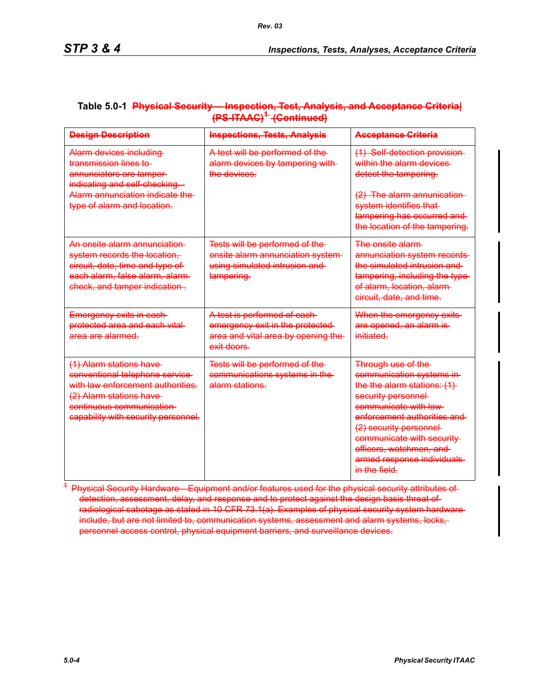| <b>Design Description</b>                                                                                                                                                                    | <b>Inspections, Tests, Analysis</b>                                                                                   | <b>Acceptance Griteria</b>                                                                                                                                                                                                                                                                          |
|----------------------------------------------------------------------------------------------------------------------------------------------------------------------------------------------|-----------------------------------------------------------------------------------------------------------------------|-----------------------------------------------------------------------------------------------------------------------------------------------------------------------------------------------------------------------------------------------------------------------------------------------------|
| Alarm devices including<br>transmission lines to<br>annunciators are tamper-<br>indicating and self-checking.<br>Alarm annunciation indicate the<br>type of alarm and location.              | A test will be performed of the<br>alarm devices by tampering with-<br>the devices.                                   | (1) Self-detection provision<br>within the alarm devices<br>detect the tampering.<br>(2) The alarm annunication-<br>system identifies that<br>tampering has occurred and-<br>the location of the tampering.                                                                                         |
| An onsite alarm annunciation<br>system records the location.<br>circuit, date, time and type of<br>each alarm, false alarm, alarm-<br>check, and tamper indication.                          | Tests will be performed of the<br>onsite alarm annunciation system-<br>using simulated intrusion and<br>tampering.    | The onsite alarm<br>annunciation system records<br>the simulated intrusion and<br>tampering, including the type<br>of alarm, location, alarm-<br>circuit, date, and time.                                                                                                                           |
| Emergency exits in each-<br>protected area and each vital<br>area are alarmed.                                                                                                               | A test is performed of each-<br>emergency exit in the protected-<br>area and vital area by opening the<br>exit doors. | When the emergency exits<br>are opened, an alarm is<br>initiated.                                                                                                                                                                                                                                   |
| (1) Alarm stations have<br>conventional telephone service<br>with law enforcement authorities.<br>(2) Alarm stations have<br>continuous communication<br>capability with security personnel. | Tests will be performed of the<br>communications systems in the<br><del>alarm stations.</del>                         | <b>Through use of the</b><br>communication systems in<br>the the alarm stations: (1)<br>security personnel<br>communicate with law<br>enforcement authorities and<br>(2) security personnel-<br>communicate with security<br>officers, watchmen, and<br>armed response individuals<br>in the field. |

### **Table 5.0-1 Physical Security— Inspection, Test, Analysis, and Acceptance Criteria| (PS-ITAAC)1 (Continued)**

<sup>4</sup> Physical Security Hardware—Equipment and/or features used for the physical security attributes of detection, assessment, delay, and response and to protect against the design basis threat of radiological sabotage as stated in 10 CFR 73.1(a). Examples of physical security system hardwareinclude, but are not limited to, communication systems, assessment and alarm systems, locks, personnel access control, physical equipment barriers, and surveillance devices.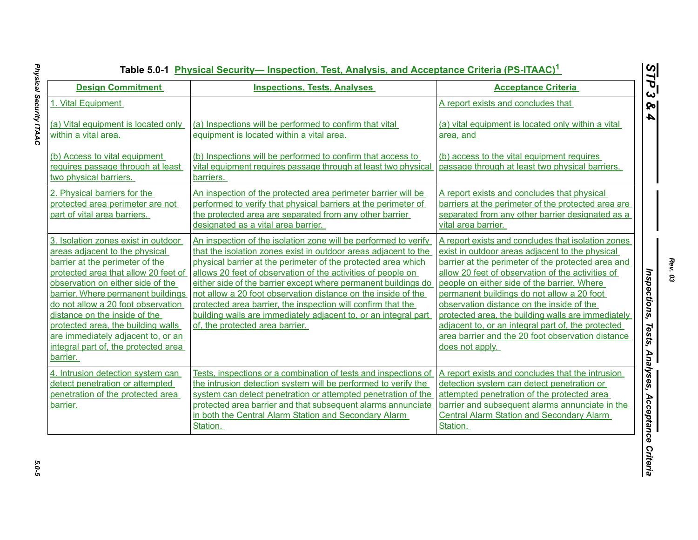|                                                                                                                                                                                                                                                                                                                                                                                                                                    |                                                                                                                                                                                                                                                                                                                                                                                                                                                                                                                                                                              | Table 5.0-1 Physical Security— Inspection, Test, Analysis, and Acceptance Criteria (PS-ITAAC) <sup>1</sup>                                                                                                                                                                                                                                                                                                                                                                                                                                     |
|------------------------------------------------------------------------------------------------------------------------------------------------------------------------------------------------------------------------------------------------------------------------------------------------------------------------------------------------------------------------------------------------------------------------------------|------------------------------------------------------------------------------------------------------------------------------------------------------------------------------------------------------------------------------------------------------------------------------------------------------------------------------------------------------------------------------------------------------------------------------------------------------------------------------------------------------------------------------------------------------------------------------|------------------------------------------------------------------------------------------------------------------------------------------------------------------------------------------------------------------------------------------------------------------------------------------------------------------------------------------------------------------------------------------------------------------------------------------------------------------------------------------------------------------------------------------------|
| <b>Design Commitment</b>                                                                                                                                                                                                                                                                                                                                                                                                           | <b>Inspections, Tests, Analyses</b>                                                                                                                                                                                                                                                                                                                                                                                                                                                                                                                                          | <b>Acceptance Criteria</b>                                                                                                                                                                                                                                                                                                                                                                                                                                                                                                                     |
| 1. Vital Equipment                                                                                                                                                                                                                                                                                                                                                                                                                 |                                                                                                                                                                                                                                                                                                                                                                                                                                                                                                                                                                              | A report exists and concludes that                                                                                                                                                                                                                                                                                                                                                                                                                                                                                                             |
| (a) Vital equipment is located only<br>within a vital area.                                                                                                                                                                                                                                                                                                                                                                        | (a) Inspections will be performed to confirm that vital<br>equipment is located within a vital area.                                                                                                                                                                                                                                                                                                                                                                                                                                                                         | (a) vital equipment is located only within a vital<br>area, and                                                                                                                                                                                                                                                                                                                                                                                                                                                                                |
| (b) Access to vital equipment<br>requires passage through at least<br>two physical barriers.                                                                                                                                                                                                                                                                                                                                       | (b) Inspections will be performed to confirm that access to<br>vital equipment requires passage through at least two physical<br>barriers.                                                                                                                                                                                                                                                                                                                                                                                                                                   | (b) access to the vital equipment requires<br>passage through at least two physical barriers.                                                                                                                                                                                                                                                                                                                                                                                                                                                  |
| 2. Physical barriers for the<br>protected area perimeter are not<br>part of vital area barriers.                                                                                                                                                                                                                                                                                                                                   | An inspection of the protected area perimeter barrier will be<br>performed to verify that physical barriers at the perimeter of<br>the protected area are separated from any other barrier<br>designated as a vital area barrier.                                                                                                                                                                                                                                                                                                                                            | A report exists and concludes that physical<br>barriers at the perimeter of the protected area are<br>separated from any other barrier designated as a<br>vital area barrier.                                                                                                                                                                                                                                                                                                                                                                  |
| 3. Isolation zones exist in outdoor<br>areas adjacent to the physical<br>barrier at the perimeter of the<br>protected area that allow 20 feet of<br>observation on either side of the<br>barrier. Where permanent buildings<br>do not allow a 20 foot observation<br>distance on the inside of the<br>protected area, the building walls<br>are immediately adjacent to, or an<br>integral part of, the protected area<br>barrier. | An inspection of the isolation zone will be performed to verify<br>that the isolation zones exist in outdoor areas adjacent to the<br>physical barrier at the perimeter of the protected area which<br>allows 20 feet of observation of the activities of people on<br>either side of the barrier except where permanent buildings do<br>not allow a 20 foot observation distance on the inside of the<br>protected area barrier, the inspection will confirm that the<br>building walls are immediately adjacent to, or an integral part<br>of, the protected area barrier. | A report exists and concludes that isolation zones<br>exist in outdoor areas adjacent to the physical<br>barrier at the perimeter of the protected area and<br>allow 20 feet of observation of the activities of<br>people on either side of the barrier. Where<br>permanent buildings do not allow a 20 foot<br>observation distance on the inside of the<br>protected area, the building walls are immediately<br>adjacent to, or an integral part of, the protected<br>area barrier and the 20 foot observation distance<br>does not apply. |
| 4. Intrusion detection system can<br>detect penetration or attempted<br>penetration of the protected area<br>barrier.                                                                                                                                                                                                                                                                                                              | Tests, inspections or a combination of tests and inspections of<br>the intrusion detection system will be performed to verify the<br>system can detect penetration or attempted penetration of the<br>protected area barrier and that subsequent alarms annunciate<br>in both the Central Alarm Station and Secondary Alarm<br>Station.                                                                                                                                                                                                                                      | A report exists and concludes that the intrusion<br>detection system can detect penetration or<br>attempted penetration of the protected area<br>barrier and subsequent alarms annunciate in the<br><b>Central Alarm Station and Secondary Alarm</b><br>Station.                                                                                                                                                                                                                                                                               |

*Rev. 03*

5.0-5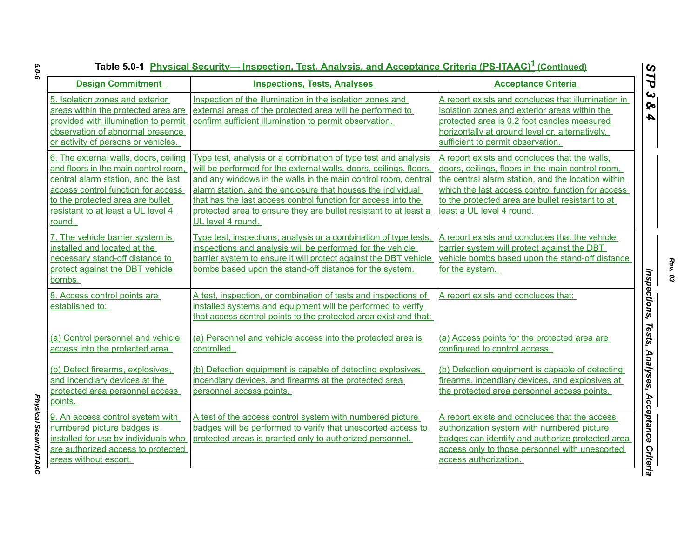| Table 5.0-1 Physical Security— Inspection, Test, Analysis, and Acceptance Criteria (PS-ITAAC) <sup>1</sup> (Continued)<br>STP                                                                                                                         |                                                                                                                                                                                                                                                                                                                                                                                                                                 |                                                                                                                                                                                                                                                                                                |
|-------------------------------------------------------------------------------------------------------------------------------------------------------------------------------------------------------------------------------------------------------|---------------------------------------------------------------------------------------------------------------------------------------------------------------------------------------------------------------------------------------------------------------------------------------------------------------------------------------------------------------------------------------------------------------------------------|------------------------------------------------------------------------------------------------------------------------------------------------------------------------------------------------------------------------------------------------------------------------------------------------|
| <b>Design Commitment</b>                                                                                                                                                                                                                              | <b>Inspections, Tests, Analyses</b>                                                                                                                                                                                                                                                                                                                                                                                             | <b>Acceptance Criteria</b>                                                                                                                                                                                                                                                                     |
| 5. Isolation zones and exterior<br>areas within the protected area are<br>provided with illumination to permit<br>observation of abnormal presence<br>or activity of persons or vehicles.                                                             | Inspection of the illumination in the isolation zones and<br>external areas of the protected area will be performed to<br>confirm sufficient illumination to permit observation.                                                                                                                                                                                                                                                | A report exists and concludes that illumination in<br>isolation zones and exterior areas within the<br>protected area is 0.2 foot candles measured<br>horizontally at ground level or, alternatively,<br>sufficient to permit observation.                                                     |
| 6. The external walls, doors, ceiling<br>and floors in the main control room,<br>central alarm station, and the last<br>access control function for access<br>to the protected area are bullet<br>resistant to at least a UL level 4<br><u>round.</u> | Type test, analysis or a combination of type test and analysis<br>will be performed for the external walls, doors, ceilings, floors,<br>and any windows in the walls in the main control room, central<br>alarm station, and the enclosure that houses the individual<br>that has the last access control function for access into the<br>protected area to ensure they are bullet resistant to at least a<br>UL level 4 round. | A report exists and concludes that the walls,<br>doors, ceilings, floors in the main control room,<br>the central alarm station, and the location within<br>which the last access control function for access<br>to the protected area are bullet resistant to at<br>least a UL level 4 round. |
| 7. The vehicle barrier system is<br>installed and located at the<br>necessary stand-off distance to<br>protect against the DBT vehicle<br>bombs.                                                                                                      | Type test, inspections, analysis or a combination of type tests,<br>inspections and analysis will be performed for the vehicle<br>barrier system to ensure it will protect against the DBT vehicle<br>bombs based upon the stand-off distance for the system.                                                                                                                                                                   | A report exists and concludes that the vehicle<br>barrier system will protect against the DBT<br>vehicle bombs based upon the stand-off distance<br>for the system.                                                                                                                            |
| 8. Access control points are<br>established to:                                                                                                                                                                                                       | A test, inspection, or combination of tests and inspections of<br>installed systems and equipment will be performed to verify<br>that access control points to the protected area exist and that:                                                                                                                                                                                                                               | A report exists and concludes that:                                                                                                                                                                                                                                                            |
| (a) Control personnel and vehicle<br>access into the protected area.                                                                                                                                                                                  | (a) Personnel and vehicle access into the protected area is<br>controlled.                                                                                                                                                                                                                                                                                                                                                      | (a) Access points for the protected area are<br>configured to control access.                                                                                                                                                                                                                  |
| (b) Detect firearms, explosives,<br>and incendiary devices at the<br>protected area personnel access<br>points.                                                                                                                                       | (b) Detection equipment is capable of detecting explosives,<br>incendiary devices, and firearms at the protected area<br>personnel access points.                                                                                                                                                                                                                                                                               | (b) Detection equipment is capable of detecting<br>firearms, incendiary devices, and explosives at<br>the protected area personnel access points.                                                                                                                                              |
| 9. An access control system with<br>numbered picture badges is<br>installed for use by individuals who<br>are authorized access to protected<br>areas without escort.                                                                                 | A test of the access control system with numbered picture<br>badges will be performed to verify that unescorted access to<br>protected areas is granted only to authorized personnel.                                                                                                                                                                                                                                           | A report exists and concludes that the access<br>authorization system with numbered picture<br>badges can identify and authorize protected area<br>access only to those personnel with unescorted<br>access authorization.                                                                     |

*Physical Security ITAAC* 

Physical Security ITAAC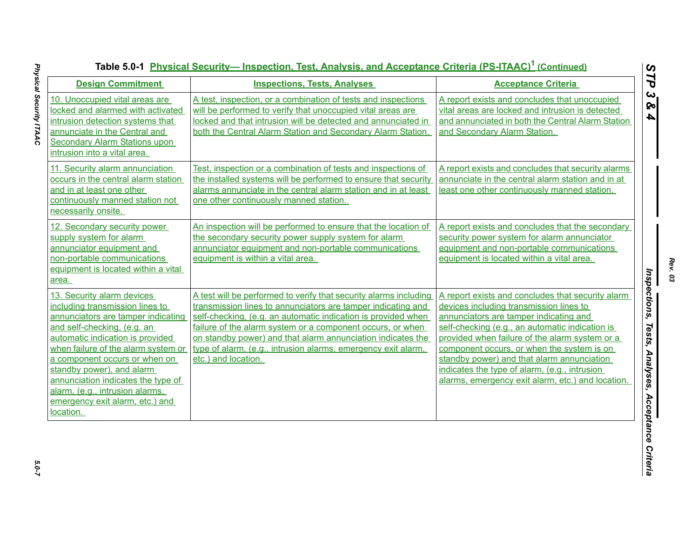| <b>Design Commitment</b>                                                                                                                                                                                                                                                                                                                                                                | <b>Inspections, Tests, Analyses</b>                                                                                                                                                                                                                                                                                                                                                                                     | <b>Acceptance Criteria</b>                                                                                                                                                                                                                                                                                                                                                                                                                    |
|-----------------------------------------------------------------------------------------------------------------------------------------------------------------------------------------------------------------------------------------------------------------------------------------------------------------------------------------------------------------------------------------|-------------------------------------------------------------------------------------------------------------------------------------------------------------------------------------------------------------------------------------------------------------------------------------------------------------------------------------------------------------------------------------------------------------------------|-----------------------------------------------------------------------------------------------------------------------------------------------------------------------------------------------------------------------------------------------------------------------------------------------------------------------------------------------------------------------------------------------------------------------------------------------|
| 10. Unoccupied vital areas are<br>locked and alarmed with activated<br>intrusion detection systems that<br>annunciate in the Central and                                                                                                                                                                                                                                                | A test, inspection, or a combination of tests and inspections<br>will be performed to verify that unoccupied vital areas are<br>locked and that intrusion will be detected and annunciated in<br>both the Central Alarm Station and Secondary Alarm Station.                                                                                                                                                            | A report exists and concludes that unoccupied<br>vital areas are locked and intrusion is detected<br>and annunciated in both the Central Alarm Station<br>and Secondary Alarm Station.                                                                                                                                                                                                                                                        |
| <b>Secondary Alarm Stations upon</b><br>intrusion into a vital area.                                                                                                                                                                                                                                                                                                                    |                                                                                                                                                                                                                                                                                                                                                                                                                         |                                                                                                                                                                                                                                                                                                                                                                                                                                               |
| 11. Security alarm annunciation<br>occurs in the central alarm station<br>and in at least one other<br>continuously manned station not<br>necessarily onsite.                                                                                                                                                                                                                           | Test, inspection or a combination of tests and inspections of<br>the installed systems will be performed to ensure that security<br>alarms annunciate in the central alarm station and in at least<br>one other continuously manned station.                                                                                                                                                                            | A report exists and concludes that security alarms<br>annunciate in the central alarm station and in at<br>least one other continuously manned station.                                                                                                                                                                                                                                                                                       |
| 12. Secondary security power<br>supply system for alarm<br>annunciator equipment and<br>non-portable communications<br>equipment is located within a vital<br>area.                                                                                                                                                                                                                     | An inspection will be performed to ensure that the location of<br>the secondary security power supply system for alarm<br>annunciator equipment and non-portable communications<br>equipment is within a vital area.                                                                                                                                                                                                    | A report exists and concludes that the secondary<br>security power system for alarm annunciator<br>equipment and non-portable communications<br>equipment is located within a vital area.                                                                                                                                                                                                                                                     |
| 13. Security alarm devices<br>including transmission lines to<br>annunciators are tamper indicating<br>and self-checking, (e.g. an<br>automatic indication is provided<br>when failure of the alarm system or<br>a component occurs or when on<br>standby power), and alarm<br>annunciation indicates the type of<br>alarm, (e.g., intrusion alarms,<br>emergency exit alarm, etc.) and | A test will be performed to verify that security alarms including<br>transmission lines to annunciators are tamper indicating and<br>self-checking, (e.g. an automatic indication is provided when<br>failure of the alarm system or a component occurs, or when<br>on standby power) and that alarm annunciation indicates the<br>type of alarm, (e.g., intrusion alarms, emergency exit alarm,<br>etc.) and location. | A report exists and concludes that security alarm<br>devices including transmission lines to<br>annunciators are tamper indicating and<br>self-checking (e.g., an automatic indication is<br>provided when failure of the alarm system or a<br>component occurs, or when the system is on<br>standby power) and that alarm annunciation<br>indicates the type of alarm, (e.g., intrusion<br>alarms, emergency exit alarm, etc.) and location. |

*Rev. 03*

*STP 3 & 4*

5.0-7